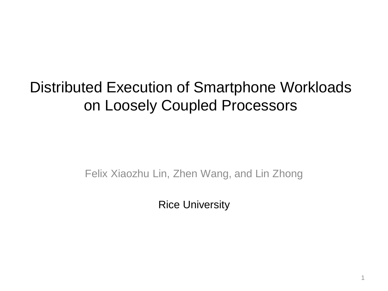#### Distributed Execution of Smartphone Workloads on Loosely Coupled Processors

Felix Xiaozhu Lin, Zhen Wang, and Lin Zhong

Rice University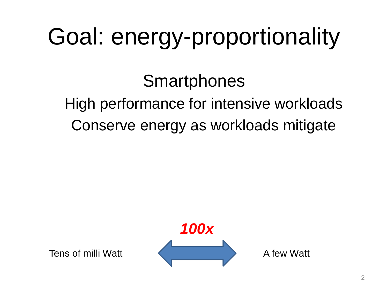# Goal: energy-proportionality

**Smartphones** High performance for intensive workloads Conserve energy as workloads mitigate

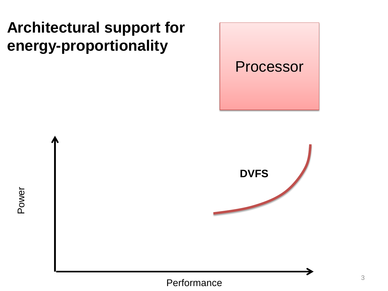#### **Architectural support for energy-proportionality**



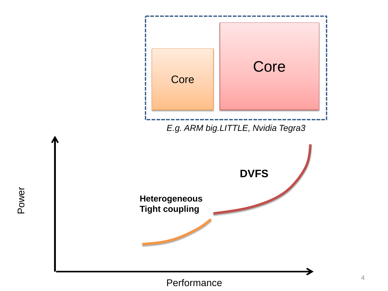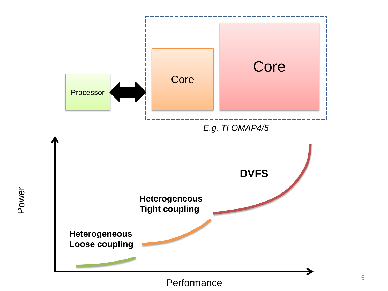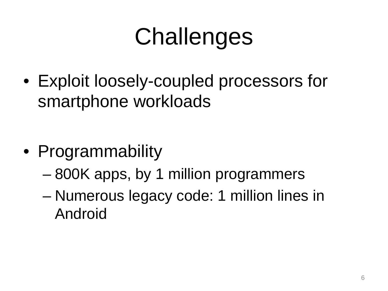# **Challenges**

• Exploit loosely-coupled processors for smartphone workloads

- Programmability
	- 800K apps, by 1 million programmers
	- Numerous legacy code: 1 million lines in Android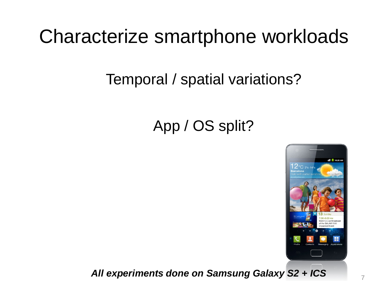#### Characterize smartphone workloads

#### Temporal / spatial variations?

#### App / OS split?



*All experiments done on Samsung Galaxy S2 + ICS* <sup>7</sup>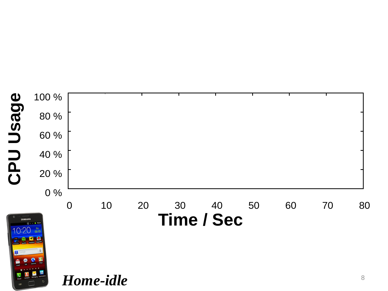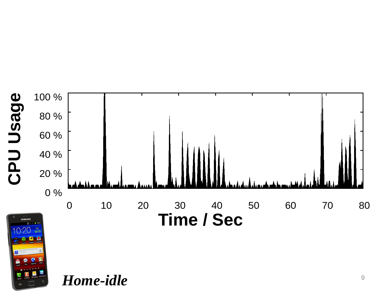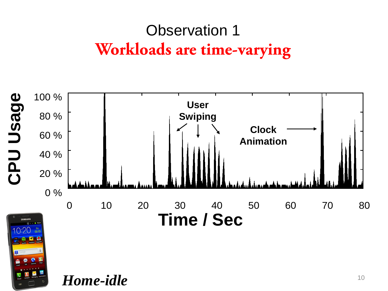#### Observation 1 **Workloads are time-varying**

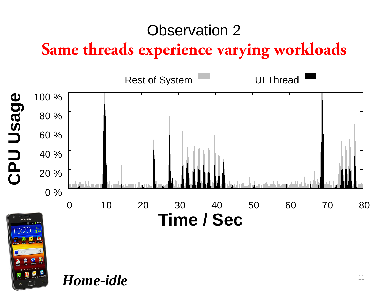#### Observation 2 **Same threads experience varying workloads**

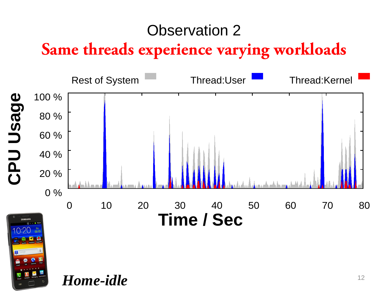#### Observation 2 **Same threads experience varying workloads**

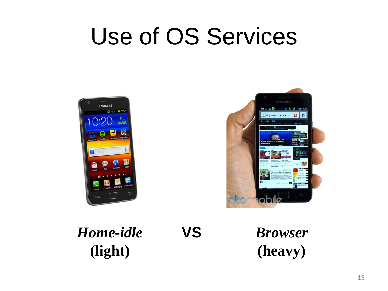### Use of OS Services





*Home-idle* **VS (light)** *Browser* **(heavy)**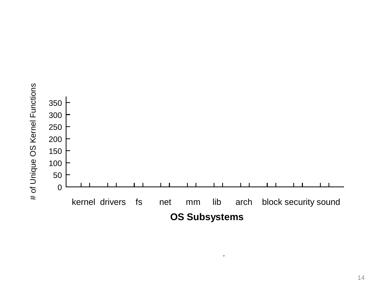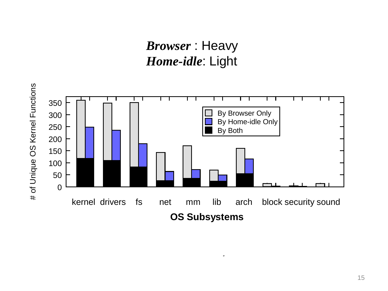#### *Browser* : Heavy *Home-idle*: Light

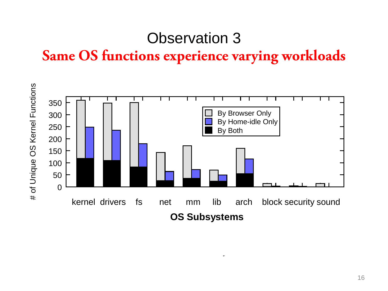#### Observation 3 **Same OS functions experience varying workloads**

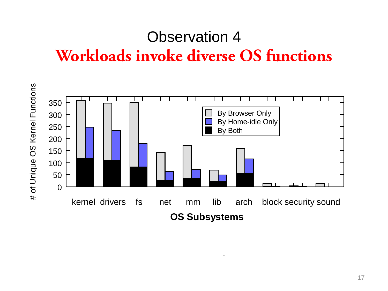#### Observation 4 **Workloads invoke diverse OS functions**

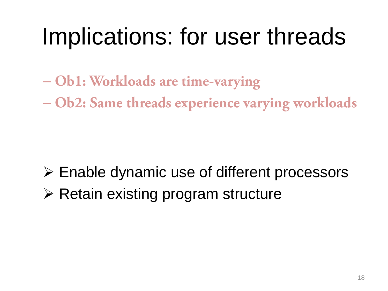# Implications: for user threads

– **Ob1: Workloads are time-varying** 

– **Ob2: Same threads experience varying workloads**

 $\triangleright$  Enable dynamic use of different processors  $\triangleright$  Retain existing program structure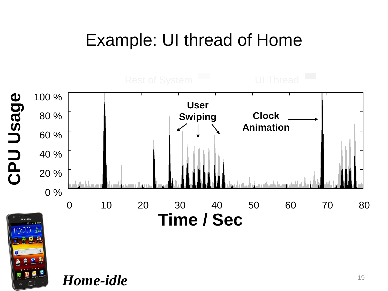#### Example: UI thread of Home

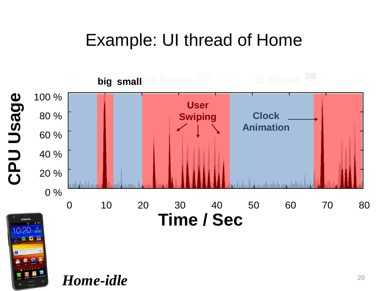#### Example: UI thread of Home

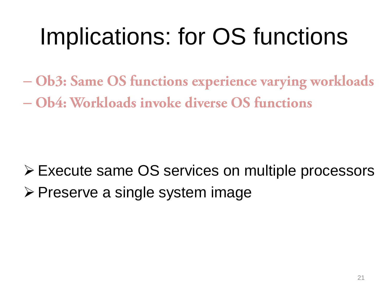# Implications: for OS functions

– **Ob3: Same OS functions experience varying workloads** – **Ob4: Workloads invoke diverse OS functions**

 Execute same OS services on multiple processors  $\triangleright$  Preserve a single system image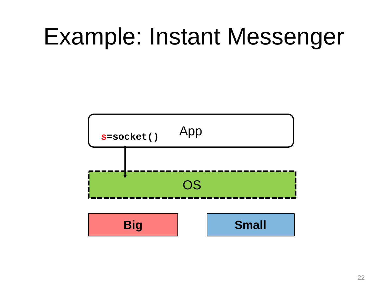### Example: Instant Messenger

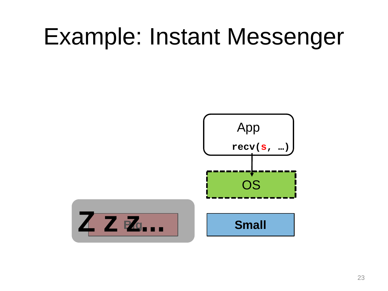### Example: Instant Messenger

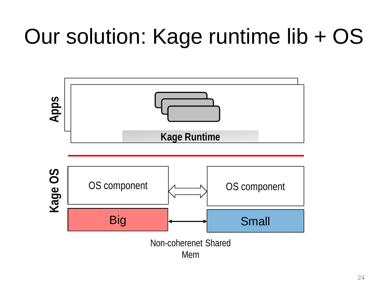## Our solution: Kage runtime lib + OS

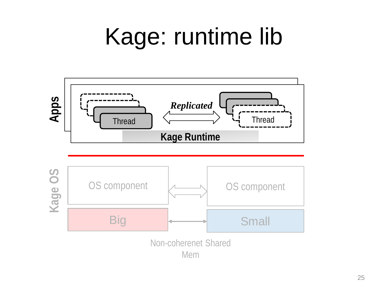# Kage: runtime lib

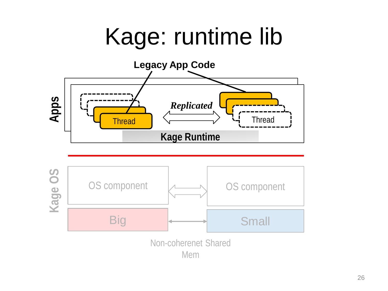# Kage: runtime lib

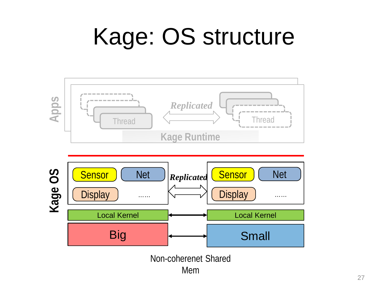# Kage: OS structure



Non-coherenet Shared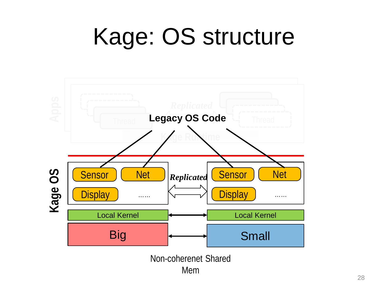# Kage: OS structure



Non-coherenet Shared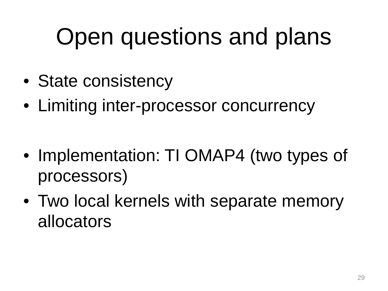# Open questions and plans

- State consistency
- Limiting inter-processor concurrency
- Implementation: TI OMAP4 (two types of processors)
- Two local kernels with separate memory allocators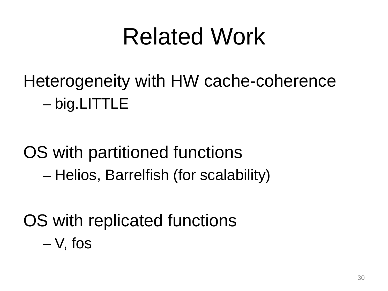# Related Work

#### Heterogeneity with HW cache-coherence – big.LITTLE

# OS with partitioned functions

– Helios, Barrelfish (for scalability)

#### OS with replicated functions – V, fos